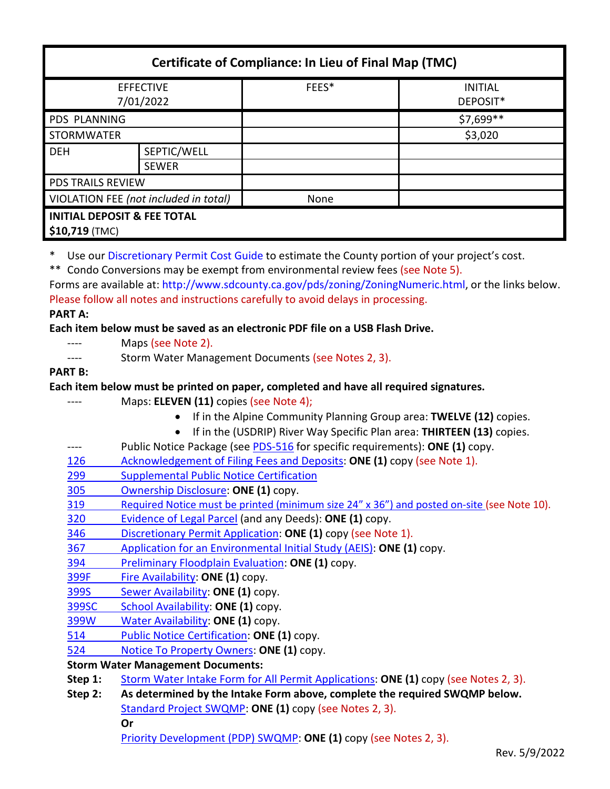| <b>Certificate of Compliance: In Lieu of Final Map (TMC)</b> |                             |                                                                                                                                                                                                                                                                                                                                                      |                                                                                                       |
|--------------------------------------------------------------|-----------------------------|------------------------------------------------------------------------------------------------------------------------------------------------------------------------------------------------------------------------------------------------------------------------------------------------------------------------------------------------------|-------------------------------------------------------------------------------------------------------|
| <b>EFFECTIVE</b><br>7/01/2022                                |                             | FEES*                                                                                                                                                                                                                                                                                                                                                | <b>INITIAL</b><br>DEPOSIT*                                                                            |
| PDS PLANNING                                                 |                             |                                                                                                                                                                                                                                                                                                                                                      | \$7,699**                                                                                             |
| <b>STORMWATER</b>                                            |                             |                                                                                                                                                                                                                                                                                                                                                      | \$3,020                                                                                               |
| <b>DEH</b>                                                   | SEPTIC/WELL<br><b>SEWER</b> |                                                                                                                                                                                                                                                                                                                                                      |                                                                                                       |
| <b>PDS TRAILS REVIEW</b>                                     |                             |                                                                                                                                                                                                                                                                                                                                                      |                                                                                                       |
| VIOLATION FEE (not included in total)                        |                             | None                                                                                                                                                                                                                                                                                                                                                 |                                                                                                       |
| <b>INITIAL DEPOSIT &amp; FEE TOTAL</b><br>\$10,719 (TMC)     |                             |                                                                                                                                                                                                                                                                                                                                                      |                                                                                                       |
| ∗<br><b>PART A:</b>                                          |                             | Use our Discretionary Permit Cost Guide to estimate the County portion of your project's cost.<br>Condo Conversions may be exempt from environmental review fees (see Note 5).<br>Please follow all notes and instructions carefully to avoid delays in processing.<br>Each item below must be saved as an electronic PDF file on a USB Flash Drive. | Forms are available at: http://www.sdcounty.ca.gov/pds/zoning/ZoningNumeric.html, or the links below. |

- ---- Maps (see Note 2).
- ---- Storm Water Management Documents (see Notes 2, 3).

### **PART B:**

#### **Each item below must be printed on paper, completed and have all required signatures.**

- ---- Maps: **ELEVEN (11)** copies (see Note 4);
	- If in the Alpine Community Planning Group area: **TWELVE (12)** copies.
	- If in the (USDRIP) River Way Specific Plan area: **THIRTEEN (13)** copies.
- ---- Public Notice Package (see [PDS-516](http://www.sdcounty.ca.gov/pds/zoning/formfields/PDS-PLN-516.pdf) for specific requirements): **ONE (1)** copy.
- [126 Acknowledgement of Filing Fees and Deposits:](http://www.sdcounty.ca.gov/pds/zoning/formfields/PDS-PLN-126.pdf) **ONE (1)** copy (see Note 1).
- 299 [Supplemental Public Notice Certification](http://www.sdcounty.ca.gov/pds/zoning/formfields/PDS-PLN-299.pdf)
- [305 Ownership Disclosure:](http://www.sdcounty.ca.gov/pds/zoning/formfields/PDS-PLN-305.pdf) **ONE (1)** copy.
- [319 Required Notice must be printed \(minimum size 24" x 36"\) and posted on-site](https://www.sandiegocounty.gov/content/dam/sdc/pds/zoning/formfields/PDS-PLN-319.pdf) (see Note 10).
- [320 Evidence of Legal Parcel](http://www.sdcounty.ca.gov/pds/zoning/formfields/PDS-PLN-320.pdf) (and any Deeds): **ONE (1)** copy.
- 346 [Discretionary Permit Application:](http://www.sdcounty.ca.gov/pds/zoning/formfields/PDS-PLN-346.pdf) **ONE (1)** copy (see Note 1).
- 367 [Application for an Environmental Initial Study \(AEIS\):](http://www.sdcounty.ca.gov/pds/zoning/formfields/PDS-PLN-367.pdf) **ONE (1)** copy.
- 394 [Preliminary Floodplain Evaluation:](http://www.sdcounty.ca.gov/pds/zoning/formfields/PDS-PLN-394.pdf) **ONE (1)** copy.
- [399F Fire Availability:](http://www.sdcounty.ca.gov/pds/zoning/formfields/PDS-PLN-399F.pdf) **ONE (1)** copy.
- 399S [Sewer Availability:](http://www.sdcounty.ca.gov/pds/zoning/formfields/PDS-PLN-399S.pdf) **ONE (1)** copy.
- [399SC School Availability:](http://www.sdcounty.ca.gov/pds/zoning/formfields/PDS-PLN-399SC.pdf) **ONE (1)** copy.
- [399W Water Availability:](http://www.sdcounty.ca.gov/pds/zoning/formfields/PDS-PLN-399W.pdf) **ONE (1)** copy.
- [514 Public Notice Certification:](http://www.sdcounty.ca.gov/pds/zoning/formfields/PDS-PLN-514.pdf) **ONE (1)** copy.
- 524 [Notice To Property Owners:](http://www.sdcounty.ca.gov/pds/zoning/formfields/PDS-PLN-524.pdf) **ONE (1)** copy.

**Storm Water Management Documents:**

- **Step 1:** [Storm Water Intake Form for All Permit Applications:](http://www.sandiegocounty.gov/content/dam/sdc/pds/zoning/formfields/SWQMP-Intake-Form.pdf) **ONE (1)** copy (see Notes 2, 3).
- **Step 2: As determined by the Intake Form above, complete the required SWQMP below.** [Standard Project SWQMP:](http://www.sandiegocounty.gov/content/dam/sdc/pds/zoning/formfields/SWQMP-Standard.pdf) **ONE (1)** copy (see Notes 2, 3).

**Or**

[Priority Development \(PDP\) SWQMP:](https://www.sandiegocounty.gov/content/sdc/dpw/watersheds/DevelopmentandConstruction/BMP_Design_Manual.html) **ONE (1)** copy (see Notes 2, 3).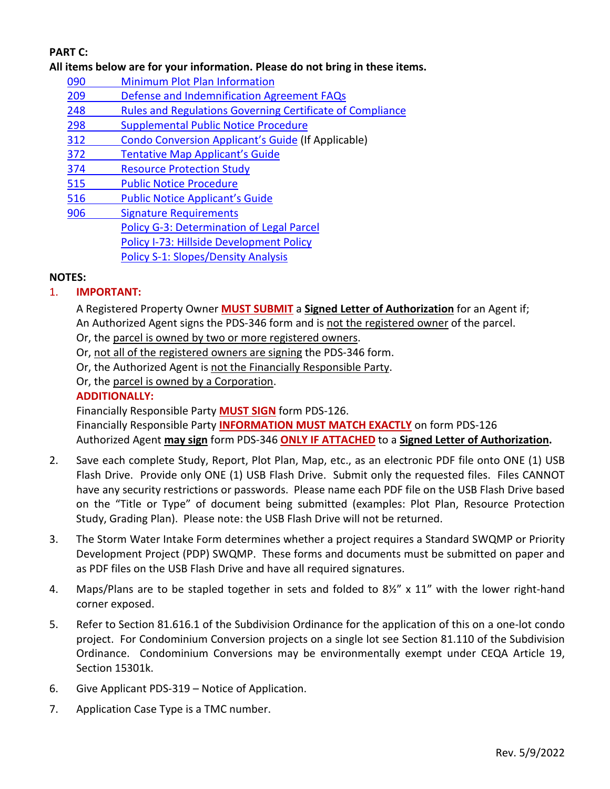# **PART C:**

**All items below are for your information. Please do not bring in these items.**

- 090 [Minimum Plot Plan Information](http://www.sdcounty.ca.gov/pds/docs/pds090.pdf)
- [209 Defense and Indemnification Agreement FAQs](http://www.sdcounty.ca.gov/pds/zoning/formfields/PDS-PLN-209.pdf)
- 248 [Rules and Regulations Governing Certificate of Compliance](http://www.sdcounty.ca.gov/pds/zoning/formfields/PDS-PLN-248.pdf)
- [298 Supplemental Public Notice Procedure](http://www.sdcounty.ca.gov/pds/zoning/formfields/PDS-PLN-298.pdf)
- 312 [Condo Conversion Applicant's Guide](http://www.sdcounty.ca.gov/pds/zoning/formfields/PDS-PLN-312.pdf) (If Applicable)
- 372 [Tentative Map Applicant's Guide](http://www.sdcounty.ca.gov/pds/zoning/formfields/PDS-PLN-372.pdf)
- [374 Resource Protection Study](http://www.sdcounty.ca.gov/pds/zoning/formfields/PDS-PLN-374.pdf)
- [515 Public Notice Procedure](http://www.sdcounty.ca.gov/pds/zoning/formfields/PDS-PLN-515.pdf)
- [516 Public Notice Applicant's Guide](http://www.sdcounty.ca.gov/pds/zoning/formfields/PDS-PLN-516.pdf)
- [906 Signature Requirements](http://www.sdcounty.ca.gov/pds/zoning/formfields/PDS-PLN-906.pdf)  [Policy G-3: Determination of Legal Parcel](http://www.sdcounty.ca.gov/pds/zoning/formfields/POLICY-G-3.pdf) [Policy I-73: Hillside Development Policy](http://www.sdcounty.ca.gov/cob/docs/policy/I-73.pdf) [Policy S-1: Slopes/Density Analysis](http://www.sdcounty.ca.gov/pds/zoning/formfields/POLICY-S-1.pdf)

### **NOTES:**

## 1. **IMPORTANT:**

A Registered Property Owner **MUST SUBMIT** a **Signed Letter of Authorization** for an Agent if; An Authorized Agent signs the PDS-346 form and is not the registered owner of the parcel.

- Or, the parcel is owned by two or more registered owners.
- Or, not all of the registered owners are signing the PDS-346 form.
- Or, the Authorized Agent is not the Financially Responsible Party.
- Or, the parcel is owned by a Corporation.

## **ADDITIONALLY:**

Financially Responsible Party **MUST SIGN** form PDS-126.

Financially Responsible Party **INFORMATION MUST MATCH EXACTLY** on form PDS-126 Authorized Agent **may sign** form PDS-346 **ONLY IF ATTACHED** to a **Signed Letter of Authorization.** 

- 2. Save each complete Study, Report, Plot Plan, Map, etc., as an electronic PDF file onto ONE (1) USB Flash Drive. Provide only ONE (1) USB Flash Drive. Submit only the requested files. Files CANNOT have any security restrictions or passwords. Please name each PDF file on the USB Flash Drive based on the "Title or Type" of document being submitted (examples: Plot Plan, Resource Protection Study, Grading Plan). Please note: the USB Flash Drive will not be returned.
- 3. The Storm Water Intake Form determines whether a project requires a Standard SWQMP or Priority Development Project (PDP) SWQMP. These forms and documents must be submitted on paper and as PDF files on the USB Flash Drive and have all required signatures.
- 4. Maps/Plans are to be stapled together in sets and folded to 8½" x 11" with the lower right-hand corner exposed.
- 5. Refer to Section 81.616.1 of the Subdivision Ordinance for the application of this on a one-lot condo project. For Condominium Conversion projects on a single lot see Section 81.110 of the Subdivision Ordinance. Condominium Conversions may be environmentally exempt under CEQA Article 19, Section 15301k.
- 6. Give Applicant PDS-319 Notice of Application.
- 7. Application Case Type is a TMC number.